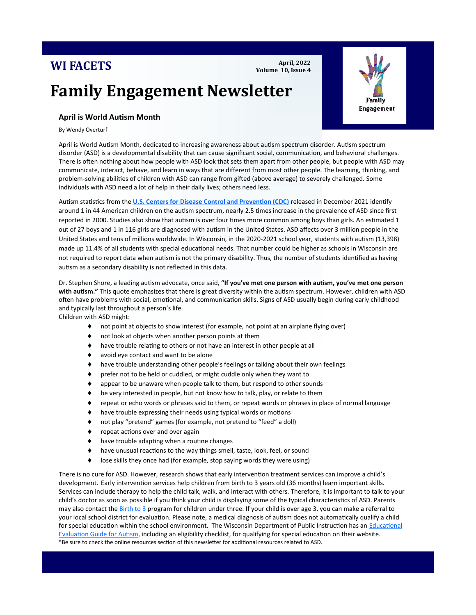## **WI FACETS**

**April, 2022 Volume 10, Issue 4**

# **Family Engagement Newsletter**

### **April is World Autism Month**

By Wendy Overturf



April is World Autism Month, dedicated to increasing awareness about autism spectrum disorder. Autism spectrum disorder (ASD) is a developmental disability that can cause significant social, communication, and behavioral challenges. There is often nothing about how people with ASD look that sets them apart from other people, but people with ASD may communicate, interact, behave, and learn in ways that are different from most other people. The learning, thinking, and problem-solving abilities of children with ASD can range from gifted (above average) to severely challenged. Some individuals with ASD need a lot of help in their daily lives; others need less.

Autism statistics from the **[U.S. Centers for Disease Control and Prevention \(CDC\)](https://www.cdc.gov/ncbddd/autism/data.html)** released in December 2021 identify around 1 in 44 American children on the autism spectrum, nearly 2.5 times increase in the prevalence of ASD since first reported in 2000. Studies also show that autism is over four times more common among boys than girls. An estimated 1 out of 27 boys and 1 in 116 girls are diagnosed with autism in the United States. ASD affects over 3 million people in the United States and tens of millions worldwide. In Wisconsin, in the 2020-2021 school year, students with autism (13,398) made up 11.4% of all students with special educational needs. That number could be higher as schools in Wisconsin are not required to report data when autism is not the primary disability. Thus, the number of students identified as having autism as a secondary disability is not reflected in this data.

Dr. Stephen Shore, a leading autism advocate, once said, **"If you've met one person with autism, you've met one person with autism."** This quote emphasizes that there is great diversity within the autism spectrum. However, children with ASD often have problems with social, emotional, and communication skills. Signs of ASD usually begin during early childhood and typically last throughout a person's life.

Children with ASD might:

- not point at objects to show interest (for example, not point at an airplane flying over)
- not look at objects when another person points at them
- have trouble relating to others or not have an interest in other people at all
- avoid eye contact and want to be alone
- have trouble understanding other people's feelings or talking about their own feelings
- prefer not to be held or cuddled, or might cuddle only when they want to
- appear to be unaware when people talk to them, but respond to other sounds
- be very interested in people, but not know how to talk, play, or relate to them
- repeat or echo words or phrases said to them, or repeat words or phrases in place of normal language
- have trouble expressing their needs using typical words or motions
- ◆ not play "pretend" games (for example, not pretend to "feed" a doll)
- ◆ repeat actions over and over again
- have trouble adapting when a routine changes
- have unusual reactions to the way things smell, taste, look, feel, or sound
- lose skills they once had (for example, stop saying words they were using)

There is no cure for ASD. However, research shows that early intervention treatment services can improve a child's development. Early intervention services help children from birth to 3 years old (36 months) learn important skills. Services can include therapy to help the child talk, walk, and interact with others. Therefore, it is important to talk to your child's doctor as soon as possible if you think your child is displaying some of the typical characteristics of ASD. Parents may also contact the [Birth to 3](https://www.dhs.wisconsin.gov/birthto3/index.htm) program for children under three. If your child is over age 3, you can make a referral to your local school district for evaluation. Please note, a medical diagnosis of autism does not automatically qualify a child for special education within the school environment. The Wisconsin Department of Public Instruction has an Educational [Evaluation Guide for Autism,](https://dpi.wi.gov/sites/default/files/imce/sped/pdf/elg-autism-guide.pdf) including an eligibility checklist, for qualifying for special education on their website. \*Be sure to check the online resources section of this newsletter for additional resources related to ASD.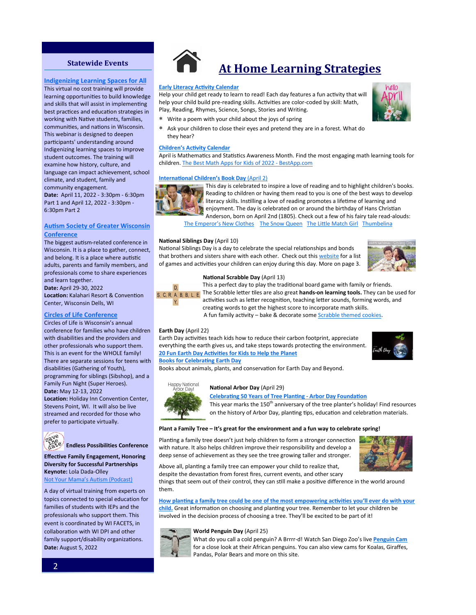#### **Statewide Events**

#### **Indigenizing Learning Spaces for All**

This virtual no cost training will provide learning opportunities to build knowledge and skills that will assist in implementing best practices and education strategies in working with Native students, families, communities, and nations in Wisconsin. This webinar is designed to deepen [Indigenizing learning spaces to impro](https://www.asw4autism.org/event-cal/30th-annual-conference/)ve [student outcomes. Th](https://www.asw4autism.org/event-cal/30th-annual-conference/)e training will examine how history, culture, and language can impact achievement, school climate, and student, family and<br>community ongegoment **Date:** April 11, 2022 - 3:30pm - 6:30pm Emotional Well-Being." Part 1 and April 12, 2022 - 3:30pm - Part 1 and April 12, 202<br>**6:30pm Part 2 Location:** Kalahari Resort and Convention participants' understanding around community engagement.

### **Autism Society of Greater Wisconsin [Conference](https://www.autismgreaterwi.org/2022-annual-conference-announcement/)**

**Comerence**<br>The biggest autism-related conference in **[Conference](http://www.uww.edu/ce/camps/additional/ecc)** Wisconsin. It is a place to gather, connect, The pre-conference workshop of the pre-conference and belong. It is a place where autistic and belong: it is a place three dations to Reflect, Practice and Build professionals come to share experiences Relationships with Other Early Childhood and learn together. Providers as We Take on Some of the Big **Date:** April 29-30, 2022 **Location:** Kalahari Resort & Convention **Lectation** natural incesting connention Center, Wisconsin Dells, WI

#### **<u>[Circles of Life Conference](https://www.circlesoflifeconference.com/conference-details/)</u>**

Circles of Life is Wisconsin's annual conference for families who have children with disabilities and the providers and other professionals who support them. This is an event for the WHOLE family! There are separate sessions for teens with disabilities (Gathering of Youth), programming for siblings (Sibshop), and a Family Fun Night (Super Heroes). **Location: Holiday Inn Convention Center,** Stevens Point, WI. It will also be live streamed and recorded for those who prefer to participate virtually. **Date:** May 12-13, 2022



**Endless Possibilities Conference** Convention Center, Stevens

**Effective Family Engagement, Honoring** <br> **Rightly** factory of the transition **[2019 Endless Possibilities Conferen](https://notyourmamasautism.com/)ce:**  <u>Not Your Mama's Autism (Podcast)</u> **Diversity for Successful Partnerships Keynote:** Lola Dada-Olley

**Disabilities- Save the Date!**  A day of virtual training from experts on topics connected to special education for 2, *Transforming the Impossible to*  families of students with IEPs and the professionals who support them. This event is coordinated by WI FACETS, in collaboration with WI DPI and other family support/disability organizations. **Date:** August 5, 2022



## **At Home Learning Strategies**

#### **[Early Literacy Activity Calendar](https://ideas.demco.com/blog/early-literacy-activity-calendar-april-2022/)**

Help your child get ready to learn to read! Each day features a fun activity that will help your child build pre-reading skills. Activities are color-coded by skill: Math, Play, Reading, Rhymes, Science, Songs, Stories and Writing.



- Write a poem with your child about the joys of spring
- Ask your children to close their eyes and pretend they are in a forest. What do they hear?

#### **Children'[s Activity Calendar](https://ideas.demco.com/blog/childrens-activity-calendar-april-2022/)**

April is Mathematics and Statistics Awareness Month. Find the most engaging math learning tools for children. [The Best Math Apps for Kids of 2022](https://www.bestapp.com/best-math-apps-for-kids/) - BestApp.com

#### **[International Children](https://www.ibby.org/index.php?id=269#top)'s Book Day** (April 2)



This day is celebrated to inspire a love of reading and to highlight children's books. Reading to children or having them read to you is one of the best ways to develop literacy skills. Instilling a love of reading promotes a lifetime of learning and enjoyment. The day is celebrated on or around the birthday of Hans Christian Anderson, born on April 2nd (1805). Check out a few of his fairy tale read-alouds: The Emperor'[s New Clothes](https://www.youtube.com/watch?v=dSWVXNtI0SU) [The Snow Queen](https://www.google.com/search?client=firefox-b-1-d&q=the+snow+queen+read+aloud#kpvalbx=_oagVYrerEaLIkPIPjYmR8A813) [The Little Match Girl](https://www.youtube.com/watch?v=EHnDT1SO8sc) [Thumbelina](https://www.youtube.com/watch?v=SAe_gCUDy2U)

#### **National Siblings Day** (April 10)

National Siblings Day is a day to celebrate the special relationships and bonds that brothers and sisters share with each other. Check out this [website](https://www.vulyplay.com/en-AU/blog/siblings-day) for a list of games and activities your children can enjoy during this day. More on page 3.



#### **National Scrabble Day** (April 13)



This a perfect day to play the traditional board game with family or friends. S. C. R. A. B. B. L. E. The Scrabble letter tiles are also great **hands-on learning tools.** They can be used for activities such as letter recognition, teaching letter sounds, forming words, and creating words to get the highest score to incorporate math skills. A fun family activity - bake & decorate some Scrabble themed cookies.

#### **Earth Day** (April 22)

Earth Day activities teach kids how to reduce their carbon footprint, appreciate everything the earth gives us, and take steps towards protecting the environment. **[20 Fun Earth Day Activities for Kids to Help the Planet](https://www.prodigygame.com/main-en/blog/earth-day-activities-for-kids/) [Books for Celebrating Earth Day](https://www.weareteachers.com/best-earth-day-books-for-kids/)**



Books about animals, plants, and conservation for Earth Day and Beyond.



#### **National Arbor Day** (April 29)

#### **[Celebrating 50 Years of Tree Planting](https://www.arborday.org/) - Arbor Day Foundation**

This year marks the 150<sup>th</sup> anniversary of the tree planter's holiday! Find resources on the history of Arbor Day, planting tips, education and celebration materials.

#### **Plant a Family Tree – It's great for the environment and a fun way to celebrate spring!**

Planting a family tree doesn't just help children to form a stronger connection with nature. It also helps children improve their responsibility and develop a deep sense of achievement as they see the tree growing taller and stronger.



Above all, planting a family tree can empower your child to realize that, despite the devastation from forest fires, current events, and other scary

things that seem out of their control, they can still make a positive difference in the world around them.

**[How planting a family tree could be one of the most empowering activities you](https://www.treehuggersbracelets.com/blogs/our-blog/planting-a-family-tree)'ll ever do with your [child.](https://www.treehuggersbracelets.com/blogs/our-blog/planting-a-family-tree)** Great information on choosing and planting your tree. Remember to let your children be involved in the decision process of choosing a tree. They'll be excited to be part of it!

#### **World Penguin Day** (April 25)



What do you call a cold penguin? A Brrrr-d! Watch San Diego Zoo's live **[Penguin Cam](https://zoo.sandiegozoo.org/cams/penguin-cam)** for a close look at their African penguins. You can also view cams for Koalas, Giraffes, Pandas, Polar Bears and more on this site.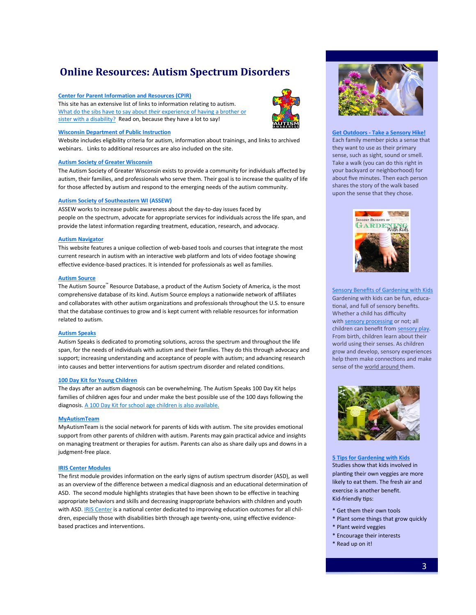## **Online Resources: Autism Spectrum Disorders**

#### **[Center for Parent Information and Resources \(CPIR\)](https://www.parentcenterhub.org/?s=autism)**

This site has an extensive list of links to information relating to autism. [What do the sibs have to say about](https://www.parentcenterhub.org/siblings/#reviewinfo) *their* experience of having a brother or [sister with a disability?](https://www.parentcenterhub.org/siblings/#reviewinfo) Read on, because they have a lot to say!



#### **[Wisconsin Department of Public Instruction](https://dpi.wi.gov/sped/program/autism)**

Website includes eligibility criteria for autism, information about trainings, and links to archived webinars. Links to additional resources are also included on the site.

#### **[Autism Society of Greater Wisconsin](https://www.autismgreaterwi.org/)**

The Autism Society of Greater Wisconsin exists to provide a community for individuals affected by autism, their families, and professionals who serve them. Their goal is to increase the quality of life for those affected by autism and respond to the emerging needs of the autism community.

#### **[Autism Society of Southeastern WI](https://www.assew.org/) (ASSEW)**

ASSEW works to increase public awareness about the day-to-day issues faced by people on the spectrum, advocate for appropriate services for individuals across the life span, and provide the latest information regarding treatment, education, research, and advocacy.

#### **[Autism Navigator](https://autismnavigator.com/)**

This website features a unique collection of web-based tools and courses that integrate the most current research in autism with an interactive web platform and lots of video footage showing effective evidence-based practices. It is intended for professionals as well as families.

#### **[Autism Source](https://source.autism-society.org/autismsource/)**

The Autism Source™ Resource Database, a product of the Autism Society of America, is the most comprehensive database of its kind. Autism Source employs a nationwide network of affiliates and collaborates with other autism organizations and professionals throughout the U.S. to ensure that the database continues to grow and is kept current with reliable resources for information related to autism.

#### **[Autism Speaks](https://www.autismspeaks.org/)**

Autism Speaks is dedicated to promoting solutions, across the spectrum and throughout the life span, for the needs of individuals with autism and their families. They do this through advocacy and support; increasing understanding and acceptance of people with autism; and advancing research into causes and better interventions for autism spectrum disorder and related conditions.

#### **[100 Day Kit for Young Children](https://www.autismspeaks.org/tool-kit/100-day-kit-young-children)**

The days after an autism diagnosis can be overwhelming. The Autism Speaks 100 Day Kit helps families of children ages four and under make the best possible use of the 100 days following the diagnosis. [A 100 Day Kit for school age children is also available.](https://www.autismspeaks.org/tool-kit/100-day-kit-school-age-children)

#### **[MyAutismTeam](https://www.myautismteam.com/)**

MyAutismTeam is the social network for parents of kids with autism. The site provides emotional support from other parents of children with autism. Parents may gain practical advice and insights on managing treatment or therapies for autism. Parents can also as share daily ups and downs in a judgment-free place.

#### **[IRIS Center Modules](https://iris.peabody.vanderbilt.edu/module/asd1/#content)**

The first module provides information on the early signs of autism spectrum disorder (ASD), as well as an overview of the difference between a medical diagnosis and an educational determination of ASD. The second module highlights strategies that have been shown to be effective in teaching appropriate behaviors and skills and decreasing inappropriate behaviors with children and youth with ASD. [IRIS Center](https://iris.peabody.vanderbilt.edu) is a national center dedicated to improving education outcomes for all children, especially those with disabilities birth through age twenty-one, using effective evidencebased practices and interventions.



#### **Get Outdoors - [Take a Sensory Hike!](https://mommyevolution.com/nature-sensory-hike/)** Each family member picks a sense that they want to use as their primary sense, such as sight, sound or smell. Take a walk (you can do this right in your backyard or neighborhood) for about five minutes. Then each person shares the story of the walk based upon the sense that they chose.



**Sensory Benefits of Gardening with Kids** Gardening with kids can be fun, educational, and full of sensory benefits. Whether a child has difficulty with [sensory processing](https://lemonlimeadventures.com/sensory-processing/) or not; all children can benefit from [sensory play.](https://lemonlimeadventures.com/category/sensory-play/) From birth, children learn about their world using their senses. As children grow and develop, sensory experiences help them make connections and make sense of the world around them.



#### **[5 Tips for Gardening with Kids](https://peacebutnotquiet.com/5-tips-gardening-kids-2/)**

Studies show that kids involved in planting their own veggies are more likely to eat them. The fresh air and exercise is another benefit. Kid-friendly tips:

- \* Get them their own tools
- \* Plant some things that grow quickly
- \* Plant weird veggies
- \* Encourage their interests
- \* Read up on it!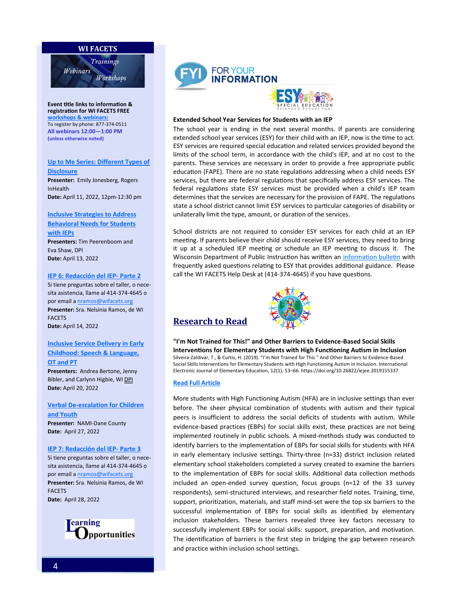#### **WI FACETS**



**Event title links to information [&](http://www.wifacets.org/events)  registration for WI FACETS FREE workshops & w**e To register by phone: 877-374-0511 **All webinars 12:00—1:00 PM (unless otherwise noted)**

#### **[Up to Me Series: Different Types of](https://wifacets.org/events/event/me-series-different-types-disclosure)  [Disclosure](https://wifacets.org/events/event/me-series-different-types-disclosure)**

**Presenter:** Emily Jonesberg, Rogers InHealth **Date:** April 11, 2022, 12pm-12:30 pm

**[Inclusive Strategies to Address](https://wifacets.org/events/event/inclusive-strategies-address-behavioral-needs-students-wieps)  [Behavioral Needs for Students](https://wifacets.org/events/event/inclusive-strategies-address-behavioral-needs-students-wieps)  [with IEPs](https://wifacets.org/events/event/inclusive-strategies-address-behavioral-needs-students-wieps)**

**Presenters:** Tim Peerenboom and Eva Shaw, DPI **Date:** April 13, 2022

#### **[IEP 6: Redacción del IEP](https://wifacets.org/events/event/iep-6-redacción-del-iep-parte-2)- Parte 2**

Si tiene preguntas sobre el taller, o necesita asistencia, llame al 414-374-4645 o por email a [nramos@wifacets.org](file:///C:/Users/cstagge/AppData/Local/Microsoft/Windows/INetCache/Content.Outlook/E9ATX4Y7/nramos@wifacets.org) **Presenter:** Sra. Nelsinia Ramos, de WI FACETS **Date:** April 14, 2022

**[Inclusive Service Delivery in Early](https://wifacets.org/events/event/inclusive-service-delivery-early-childhood-speech-language-ot-and-pt)  [Childhood: Speech & Language,](https://wifacets.org/events/event/inclusive-service-delivery-early-childhood-speech-language-ot-and-pt)  [OT and PT](https://wifacets.org/events/event/inclusive-service-delivery-early-childhood-speech-language-ot-and-pt)**

**Presenters:** Andrea Bertone, Jenny Bibler, and Carlynn Higbie, WI DPI **Date:** April 20, 2022

**Verbal De-[escalation for Children](https://wifacets.org/events/event/verbal-de-escalation-children-and-youth)  [and Youth](https://wifacets.org/events/event/verbal-de-escalation-children-and-youth) Presenter:** NAMI-Dane County **Date:** April 27, 2022

#### **[IEP 7: Redacción del IEP](https://wifacets.org/events/event/iep-7-redacci%C3%B3n-del-iep-parte-3)- Parte 3**

Si tiene preguntas sobre el taller, o necesita asistencia, llame al 414-374-4645 o por email a **[nramos@wifacets.org](file:///C:/Users/cstagge/AppData/Local/Microsoft/Windows/INetCache/Content.Outlook/E9ATX4Y7/nramos@wifacets.org) Presenter:** Sra. Nelsinia Ramos, de WI FACETS **Date:** April 28, 2022





#### **Extended School Year Services for Students with an IEP**

The school year is ending in the next several months. If parents are considering extended school year services (ESY) for their child with an IEP, now is the time to act. ESY services are required special education and related services provided beyond the limits of the school term, in accordance with the child's IEP, and at no cost to the parents. These services are necessary in order to provide a free appropriate public education (FAPE). There are no state regulations addressing when a child needs ESY services, but there are federal regulations that specifically address ESY services. The federal regulations state ESY services must be provided when a child's IEP team determines that the services are necessary for the provision of FAPE. The regulations state a school district cannot limit ESY services to particular categories of disability or unilaterally limit the type, amount, or duration of the services.

School districts are not required to consider ESY services for each child at an IEP meeting. If parents believe their child should receive ESY services, they need to bring it up at a scheduled IEP meeting or schedule an IEP meeting to discuss it. The Wisconsin Department of Public Instruction has written an [information bulletin](https://dpi.wi.gov/sped/laws-procedures-bulletins/bulletins/10-02#Q1) with frequently asked questions relating to ESY that provides additional guidance. Please call the WI FACETS Help Desk at (414-374-4645) if you have questions.



### **Research to Read**

**"I'm Not Trained for This!" and Other Barriers to Evidence-Based Social Skills Interventions for Elementary Students with High Functioning Autism in Inclusion** Silveira-Zaldivar, T., & Curtis, H. (2019). "I'm Not Trained for This " And Other Barriers to Evidence-Based Social Skills Interventions for Elementary Students with High Functioning Autism in Inclusion. International Electronic Journal of Elementary Education, 12(1), 53–66. https://doi.org/10.26822/iejee.2019155337

#### **[Read Full Article](https://files.eric.ed.gov/fulltext/EJ1232739.pdf)**

More students with High Functioning Autism (HFA) are in inclusive settings than ever before. The sheer physical combination of students with autism and their typical peers is insufficient to address the social deficits of students with autism. While evidence-based practices (EBPs) for social skills exist, these practices are not being implemented routinely in public schools. A mixed-methods study was conducted to identify barriers to the implementation of EBPs for social skills for students with HFA in early elementary inclusive settings. Thirty-three (n=33) district inclusion related elementary school stakeholders completed a survey created to examine the barriers to the implementation of EBPs for social skills. Additional data collection methods included an open-ended survey question, focus groups (n=12 of the 33 survey respondents), semi-structured interviews, and researcher field notes. Training, time, support, prioritization, materials, and staff mind-set were the top six barriers to the successful implementation of EBPs for social skills as identified by elementary inclusion stakeholders. These barriers revealed three key factors necessary to successfully implement EBPs for social skills: support, preparation, and motivation. The identification of barriers is the first step in bridging the gap between research and practice within inclusion school settings.